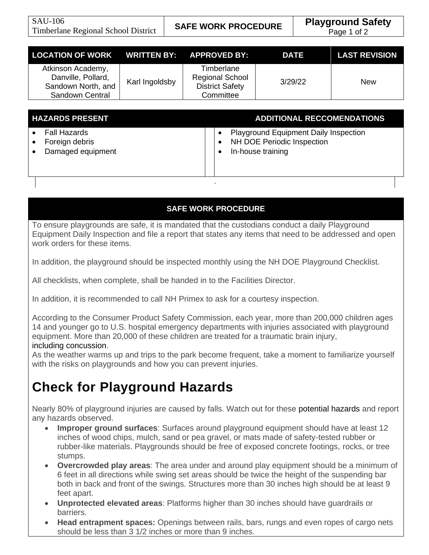Page 1 of 2

| LOCATION OF WORK WRITTEN BY: APPROVED BY:                                        |                |                                                                             | <b>DATE</b> | <b>LAST REVISION</b> |
|----------------------------------------------------------------------------------|----------------|-----------------------------------------------------------------------------|-------------|----------------------|
| Atkinson Academy,<br>Danville, Pollard,<br>Sandown North, and<br>Sandown Central | Karl Ingoldsby | Timberlane<br><b>Regional School</b><br><b>District Safety</b><br>Committee | 3/29/22     | <b>New</b>           |

| <b>HAZARDS PRESENT</b>                |                   |  | <b>ADDITIONAL RECCOMENDATIONS</b>                                                        |  |
|---------------------------------------|-------------------|--|------------------------------------------------------------------------------------------|--|
| <b>Fall Hazards</b><br>Foreign debris | Damaged equipment |  | Playground Equipment Daily Inspection<br>NH DOE Periodic Inspection<br>In-house training |  |
|                                       |                   |  |                                                                                          |  |

#### **SAFE WORK PROCEDURE**

To ensure playgrounds are safe, it is mandated that the custodians conduct a daily Playground Equipment Daily Inspection and file a report that states any items that need to be addressed and open work orders for these items.

In addition, the playground should be inspected monthly using the NH DOE Playground Checklist.

All checklists, when complete, shall be handed in to the Facilities Director.

In addition, it is recommended to call NH Primex to ask for a courtesy inspection.

According to the Consumer Product Safety Commission, each year, more than 200,000 children ages 14 and younger go to U.S. hospital emergency departments with injuries associated with playground equipment. More than 20,000 of these children are treated for a traumatic brain injury, including [concussion.](https://www.nsc.org/home-safety/safety-topics/child-safety/concussions)

As the weather warms up and trips to the park become frequent, take a moment to familiarize yourself with the risks on playgrounds and how you can prevent injuries.

#### **Check for Playground Hazards**

Nearly 80% of playground injuries are caused by falls. Watch out for these [potential](https://www.cpsc.gov/en/Safety-Education/Safety-Guides/Sports-Fitness-and-Recreation/Playground-Safety/Public-Playground-Safety-Checklist/) hazards and report any hazards observed.

- **Improper ground surfaces**: Surfaces around playground equipment should have at least 12 inches of wood chips, mulch, sand or pea gravel, or mats made of safety-tested rubber or rubber-like materials. Playgrounds should be free of exposed concrete footings, rocks, or tree stumps.
- **Overcrowded play areas**: The area under and around play equipment should be a minimum of 6 feet in all directions while swing set areas should be twice the height of the suspending bar both in back and front of the swings. Structures more than 30 inches high should be at least 9 feet apart.
- **Unprotected elevated areas**: Platforms higher than 30 inches should have guardrails or barriers.
- **Head entrapment spaces:** Openings between rails, bars, rungs and even ropes of cargo nets should be less than 3 1/2 inches or more than 9 inches.